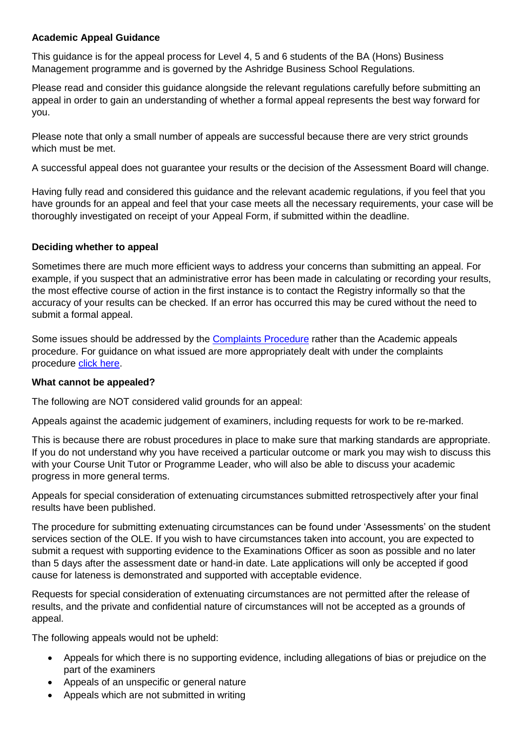## **Academic Appeal Guidance**

This guidance is for the appeal process for Level 4, 5 and 6 students of the BA (Hons) Business Management programme and is governed by the Ashridge Business School Regulations.

Please read and consider this guidance alongside the relevant regulations carefully before submitting an appeal in order to gain an understanding of whether a formal appeal represents the best way forward for you.

Please note that only a small number of appeals are successful because there are very strict grounds which must be met.

A successful appeal does not guarantee your results or the decision of the Assessment Board will change.

Having fully read and considered this guidance and the relevant academic regulations, if you feel that you have grounds for an appeal and feel that your case meets all the necessary requirements, your case will be thoroughly investigated on receipt of your Appeal Form, if submitted within the deadline.

### **Deciding whether to appeal**

Sometimes there are much more efficient ways to address your concerns than submitting an appeal. For example, if you suspect that an administrative error has been made in calculating or recording your results, the most effective course of action in the first instance is to contact the Registry informally so that the accuracy of your results can be checked. If an error has occurred this may be cured without the need to submit a formal appeal.

Some issues should be addressed by the [Complaints Procedure](https://learn.pearsoncollege.com/modules/_358_1/Pearson%20College%20Student%20Complaints%20procedure.pdf) rather than the Academic appeals procedure. For guidance on what issued are more appropriately dealt with under the complaints procedure [click here.](https://sites.google.com/a/pearsoncollege.com/student-services/home/do-i-have-a-complaint-or-an-academic-appeal)

#### **What cannot be appealed?**

The following are NOT considered valid grounds for an appeal:

Appeals against the academic judgement of examiners, including requests for work to be re-marked.

This is because there are robust procedures in place to make sure that marking standards are appropriate. If you do not understand why you have received a particular outcome or mark you may wish to discuss this with your Course Unit Tutor or Programme Leader, who will also be able to discuss your academic progress in more general terms.

Appeals for special consideration of extenuating circumstances submitted retrospectively after your final results have been published.

The procedure for submitting extenuating circumstances can be found under 'Assessments' on the student services section of the OLE. If you wish to have circumstances taken into account, you are expected to submit a request with supporting evidence to the Examinations Officer as soon as possible and no later than 5 days after the assessment date or hand-in date. Late applications will only be accepted if good cause for lateness is demonstrated and supported with acceptable evidence.

Requests for special consideration of extenuating circumstances are not permitted after the release of results, and the private and confidential nature of circumstances will not be accepted as a grounds of appeal.

The following appeals would not be upheld:

- Appeals for which there is no supporting evidence, including allegations of bias or prejudice on the part of the examiners
- Appeals of an unspecific or general nature
- Appeals which are not submitted in writing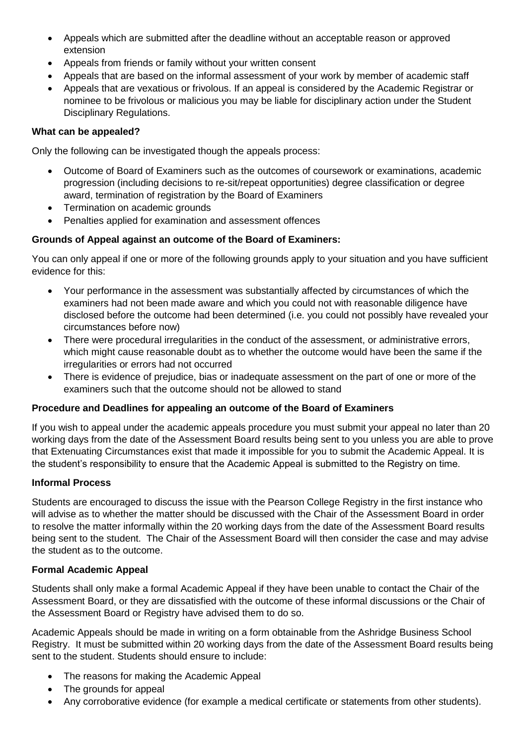- Appeals which are submitted after the deadline without an acceptable reason or approved extension
- Appeals from friends or family without your written consent
- Appeals that are based on the informal assessment of your work by member of academic staff
- Appeals that are vexatious or frivolous. If an appeal is considered by the Academic Registrar or nominee to be frivolous or malicious you may be liable for disciplinary action under the Student Disciplinary Regulations.

### **What can be appealed?**

Only the following can be investigated though the appeals process:

- Outcome of Board of Examiners such as the outcomes of coursework or examinations, academic progression (including decisions to re-sit/repeat opportunities) degree classification or degree award, termination of registration by the Board of Examiners
- Termination on academic grounds
- Penalties applied for examination and assessment offences

# **Grounds of Appeal against an outcome of the Board of Examiners:**

You can only appeal if one or more of the following grounds apply to your situation and you have sufficient evidence for this:

- Your performance in the assessment was substantially affected by circumstances of which the examiners had not been made aware and which you could not with reasonable diligence have disclosed before the outcome had been determined (i.e. you could not possibly have revealed your circumstances before now)
- There were procedural irregularities in the conduct of the assessment, or administrative errors, which might cause reasonable doubt as to whether the outcome would have been the same if the irregularities or errors had not occurred
- There is evidence of prejudice, bias or inadequate assessment on the part of one or more of the examiners such that the outcome should not be allowed to stand

# **Procedure and Deadlines for appealing an outcome of the Board of Examiners**

If you wish to appeal under the academic appeals procedure you must submit your appeal no later than 20 working days from the date of the Assessment Board results being sent to you unless you are able to prove that Extenuating Circumstances exist that made it impossible for you to submit the Academic Appeal. It is the student's responsibility to ensure that the Academic Appeal is submitted to the Registry on time.

#### **Informal Process**

Students are encouraged to discuss the issue with the Pearson College Registry in the first instance who will advise as to whether the matter should be discussed with the Chair of the Assessment Board in order to resolve the matter informally within the 20 working days from the date of the Assessment Board results being sent to the student. The Chair of the Assessment Board will then consider the case and may advise the student as to the outcome.

#### **Formal Academic Appeal**

Students shall only make a formal Academic Appeal if they have been unable to contact the Chair of the Assessment Board, or they are dissatisfied with the outcome of these informal discussions or the Chair of the Assessment Board or Registry have advised them to do so.

Academic Appeals should be made in writing on a form obtainable from the Ashridge Business School Registry. It must be submitted within 20 working days from the date of the Assessment Board results being sent to the student. Students should ensure to include:

- The reasons for making the Academic Appeal
- The grounds for appeal
- Any corroborative evidence (for example a medical certificate or statements from other students).